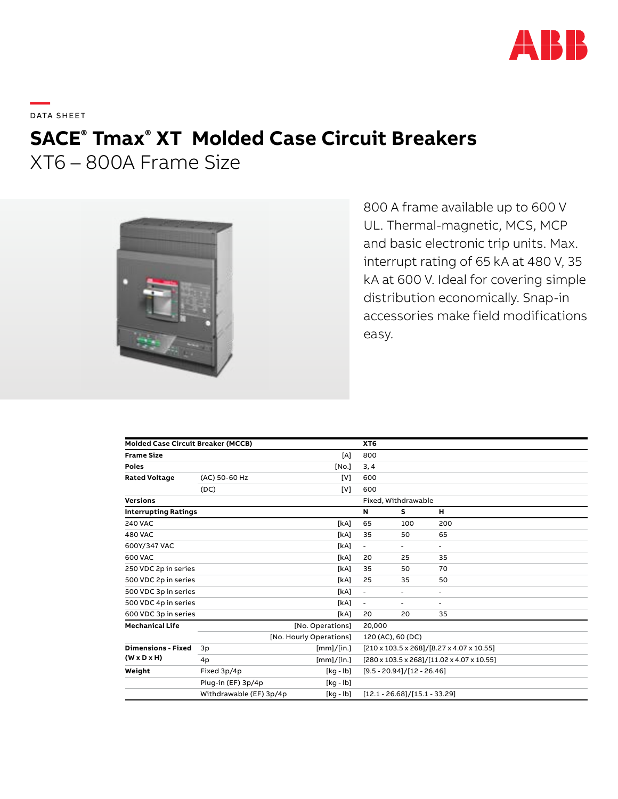

**—**  DATA SHEET

# **SACE® Tmax® XT Molded Case Circuit Breakers**

XT6 – 800A Frame Size



800 A frame available up to 600 V UL. Thermal-magnetic, MCS, MCP and basic electronic trip units. Max. interrupt rating of 65 kA at 480 V, 35 kA at 600 V. Ideal for covering simple distribution economically. Snap-in accessories make field modifications easy.

| <b>Molded Case Circuit Breaker (MCCB)</b>            |                         |                  | XT <sub>6</sub>                            |                                           |                          |  |
|------------------------------------------------------|-------------------------|------------------|--------------------------------------------|-------------------------------------------|--------------------------|--|
| <b>Frame Size</b>                                    |                         | [A]              | 800                                        |                                           |                          |  |
| <b>Poles</b>                                         |                         | [No.]            | 3, 4                                       |                                           |                          |  |
| <b>Rated Voltage</b>                                 | (AC) 50-60 Hz           | [V]              | 600                                        |                                           |                          |  |
|                                                      | (DC)                    | [V]              | 600                                        |                                           |                          |  |
| <b>Versions</b>                                      |                         |                  | Fixed, Withdrawable                        |                                           |                          |  |
| <b>Interrupting Ratings</b>                          |                         |                  | N                                          | s                                         | н                        |  |
| <b>240 VAC</b>                                       |                         | [kA]             | 65                                         | 100                                       | 200                      |  |
| <b>480 VAC</b>                                       |                         | [kA]             | 35                                         | 50                                        | 65                       |  |
| 600Y/347 VAC                                         |                         | [kA]             | $\overline{\phantom{a}}$                   | $\blacksquare$                            | ٠                        |  |
| 600 VAC                                              |                         | [kA]             | 20                                         | 25                                        | 35                       |  |
| 250 VDC 2p in series                                 |                         | [kA]             | 35                                         | 50                                        | 70                       |  |
| 500 VDC 2p in series                                 |                         | [kA]             | 25                                         | 35                                        | 50                       |  |
| 500 VDC 3p in series                                 |                         | [kA]             | $\overline{a}$                             | ٠                                         | ۰                        |  |
| 500 VDC 4p in series                                 |                         | [kA]             | ٠                                          | ٠                                         | $\overline{\phantom{a}}$ |  |
| 600 VDC 3p in series                                 |                         | [kA]             | 20                                         | 20                                        | 35                       |  |
| <b>Mechanical Life</b>                               |                         | [No. Operations] | 20,000                                     |                                           |                          |  |
|                                                      | [No. Hourly Operations] |                  | 120 (AC), 60 (DC)                          |                                           |                          |  |
| <b>Dimensions - Fixed</b><br>$(W \times D \times H)$ | 3p                      | [mm]/[in.]       |                                            | [210 x 103.5 x 268]/[8.27 x 4.07 x 10.55] |                          |  |
|                                                      | 4p                      | [mm]/[in.]       | [280 x 103.5 x 268]/[11.02 x 4.07 x 10.55] |                                           |                          |  |
| Weight                                               | Fixed 3p/4p             | [kg - lb]        | $[9.5 - 20.94]/[12 - 26.46]$               |                                           |                          |  |
|                                                      | Plug-in (EF) 3p/4p      | [kg - lb]        |                                            |                                           |                          |  |
|                                                      | Withdrawable (EF) 3p/4p | [kg - lb]        | $[12.1 - 26.68]/[15.1 - 33.29]$            |                                           |                          |  |